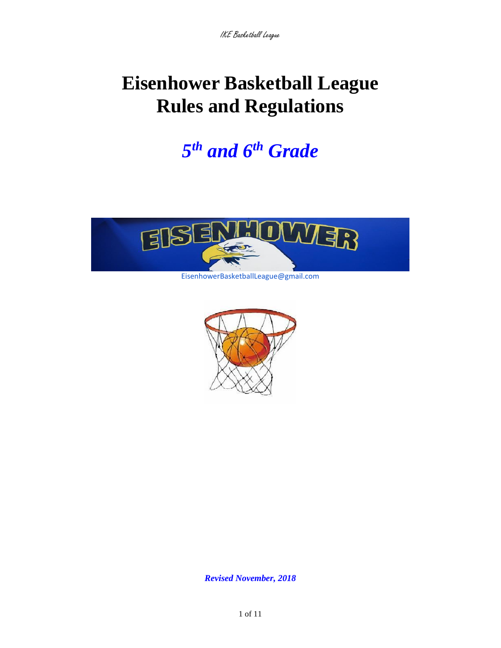# **Eisenhower Basketball League Rules and Regulations**

*5 th and 6 th Grade* 



EisenhowerBasketballLeague@gmail.com



*Revised November, 2018*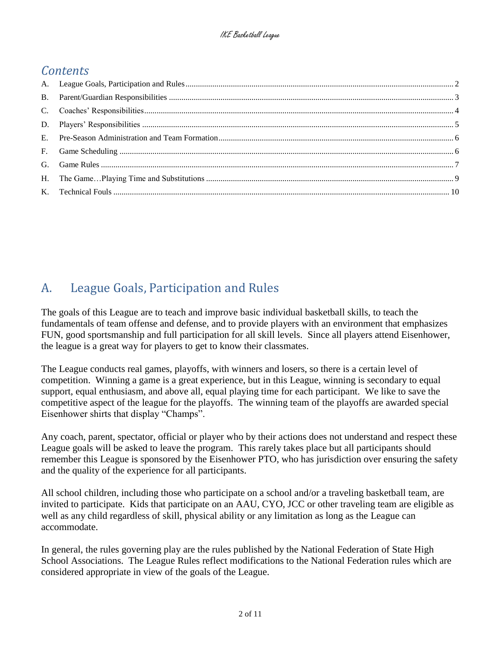### *Contents*

## <span id="page-1-0"></span>A. League Goals, Participation and Rules

The goals of this League are to teach and improve basic individual basketball skills, to teach the fundamentals of team offense and defense, and to provide players with an environment that emphasizes FUN, good sportsmanship and full participation for all skill levels. Since all players attend Eisenhower, the league is a great way for players to get to know their classmates.

The League conducts real games, playoffs, with winners and losers, so there is a certain level of competition. Winning a game is a great experience, but in this League, winning is secondary to equal support, equal enthusiasm, and above all, equal playing time for each participant. We like to save the competitive aspect of the league for the playoffs. The winning team of the playoffs are awarded special Eisenhower shirts that display "Champs".

Any coach, parent, spectator, official or player who by their actions does not understand and respect these League goals will be asked to leave the program. This rarely takes place but all participants should remember this League is sponsored by the Eisenhower PTO, who has jurisdiction over ensuring the safety and the quality of the experience for all participants.

All school children, including those who participate on a school and/or a traveling basketball team, are invited to participate. Kids that participate on an AAU, CYO, JCC or other traveling team are eligible as well as any child regardless of skill, physical ability or any limitation as long as the League can accommodate.

In general, the rules governing play are the rules published by the National Federation of State High School Associations. The League Rules reflect modifications to the National Federation rules which are considered appropriate in view of the goals of the League.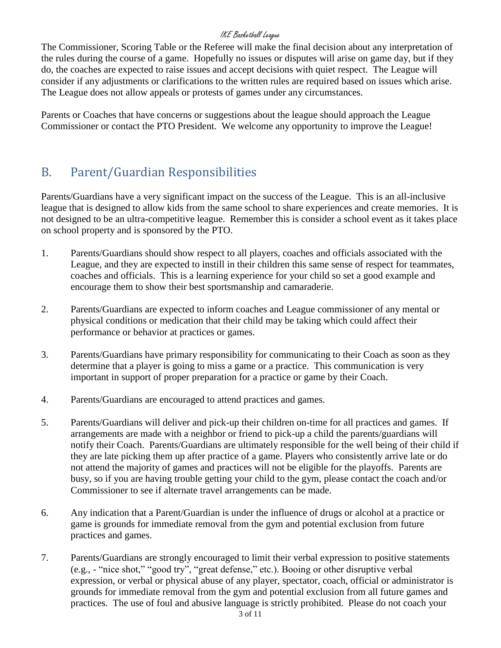The Commissioner, Scoring Table or the Referee will make the final decision about any interpretation of the rules during the course of a game. Hopefully no issues or disputes will arise on game day, but if they do, the coaches are expected to raise issues and accept decisions with quiet respect. The League will consider if any adjustments or clarifications to the written rules are required based on issues which arise. The League does not allow appeals or protests of games under any circumstances.

Parents or Coaches that have concerns or suggestions about the league should approach the League Commissioner or contact the PTO President. We welcome any opportunity to improve the League!

### <span id="page-2-0"></span>B. Parent/Guardian Responsibilities

Parents/Guardians have a very significant impact on the success of the League. This is an all-inclusive league that is designed to allow kids from the same school to share experiences and create memories. It is not designed to be an ultra-competitive league. Remember this is consider a school event as it takes place on school property and is sponsored by the PTO.

- 1. Parents/Guardians should show respect to all players, coaches and officials associated with the League, and they are expected to instill in their children this same sense of respect for teammates, coaches and officials. This is a learning experience for your child so set a good example and encourage them to show their best sportsmanship and camaraderie.
- 2. Parents/Guardians are expected to inform coaches and League commissioner of any mental or physical conditions or medication that their child may be taking which could affect their performance or behavior at practices or games.
- 3. Parents/Guardians have primary responsibility for communicating to their Coach as soon as they determine that a player is going to miss a game or a practice. This communication is very important in support of proper preparation for a practice or game by their Coach.
- 4. Parents/Guardians are encouraged to attend practices and games.
- 5. Parents/Guardians will deliver and pick-up their children on-time for all practices and games. If arrangements are made with a neighbor or friend to pick-up a child the parents/guardians will notify their Coach. Parents/Guardians are ultimately responsible for the well being of their child if they are late picking them up after practice of a game. Players who consistently arrive late or do not attend the majority of games and practices will not be eligible for the playoffs. Parents are busy, so if you are having trouble getting your child to the gym, please contact the coach and/or Commissioner to see if alternate travel arrangements can be made.
- 6. Any indication that a Parent/Guardian is under the influence of drugs or alcohol at a practice or game is grounds for immediate removal from the gym and potential exclusion from future practices and games.
- 7. Parents/Guardians are strongly encouraged to limit their verbal expression to positive statements (e.g., - "nice shot," "good try", "great defense," etc.). Booing or other disruptive verbal expression, or verbal or physical abuse of any player, spectator, coach, official or administrator is grounds for immediate removal from the gym and potential exclusion from all future games and practices. The use of foul and abusive language is strictly prohibited. Please do not coach your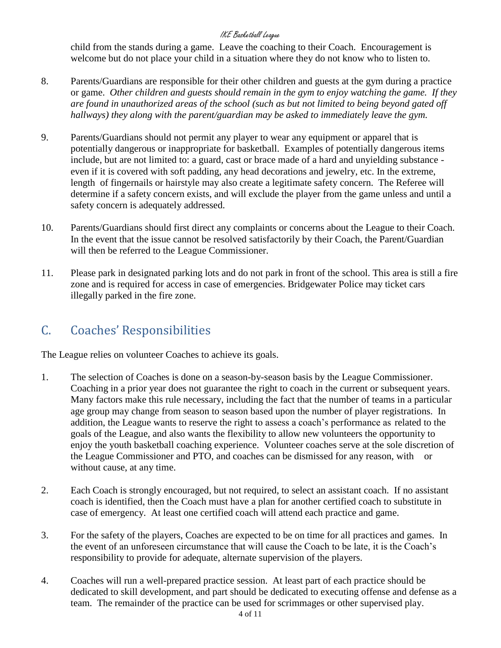child from the stands during a game. Leave the coaching to their Coach. Encouragement is welcome but do not place your child in a situation where they do not know who to listen to.

- 8. Parents/Guardians are responsible for their other children and guests at the gym during a practice or game. *Other children and guests should remain in the gym to enjoy watching the game. If they are found in unauthorized areas of the school (such as but not limited to being beyond gated off hallways) they along with the parent/guardian may be asked to immediately leave the gym.*
- 9. Parents/Guardians should not permit any player to wear any equipment or apparel that is potentially dangerous or inappropriate for basketball. Examples of potentially dangerous items include, but are not limited to: a guard, cast or brace made of a hard and unyielding substance even if it is covered with soft padding, any head decorations and jewelry, etc. In the extreme, length of fingernails or hairstyle may also create a legitimate safety concern. The Referee will determine if a safety concern exists, and will exclude the player from the game unless and until a safety concern is adequately addressed.
- 10. Parents/Guardians should first direct any complaints or concerns about the League to their Coach. In the event that the issue cannot be resolved satisfactorily by their Coach, the Parent/Guardian will then be referred to the League Commissioner.
- 11. Please park in designated parking lots and do not park in front of the school. This area is still a fire zone and is required for access in case of emergencies. Bridgewater Police may ticket cars illegally parked in the fire zone.

### <span id="page-3-0"></span>C. Coaches' Responsibilities

The League relies on volunteer Coaches to achieve its goals.

- 1. The selection of Coaches is done on a season-by-season basis by the League Commissioner. Coaching in a prior year does not guarantee the right to coach in the current or subsequent years. Many factors make this rule necessary, including the fact that the number of teams in a particular age group may change from season to season based upon the number of player registrations. In addition, the League wants to reserve the right to assess a coach's performance as related to the goals of the League, and also wants the flexibility to allow new volunteers the opportunity to enjoy the youth basketball coaching experience. Volunteer coaches serve at the sole discretion of the League Commissioner and PTO, and coaches can be dismissed for any reason, with or without cause, at any time.
- 2. Each Coach is strongly encouraged, but not required, to select an assistant coach. If no assistant coach is identified, then the Coach must have a plan for another certified coach to substitute in case of emergency. At least one certified coach will attend each practice and game.
- 3. For the safety of the players, Coaches are expected to be on time for all practices and games. In the event of an unforeseen circumstance that will cause the Coach to be late, it is the Coach's responsibility to provide for adequate, alternate supervision of the players.
- 4. Coaches will run a well-prepared practice session. At least part of each practice should be dedicated to skill development, and part should be dedicated to executing offense and defense as a team. The remainder of the practice can be used for scrimmages or other supervised play.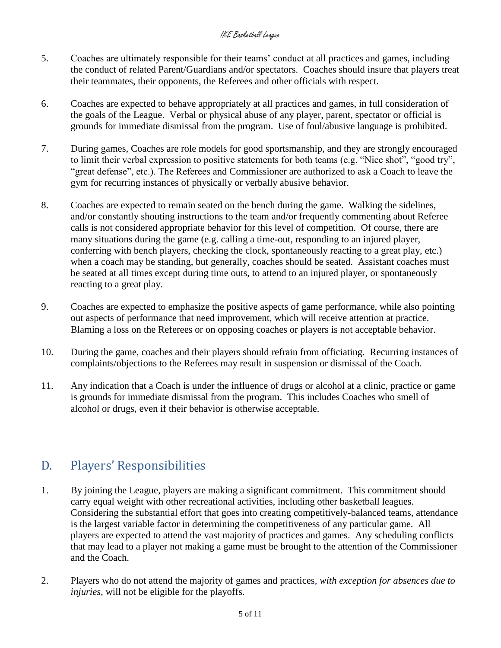- 5. Coaches are ultimately responsible for their teams' conduct at all practices and games, including the conduct of related Parent/Guardians and/or spectators. Coaches should insure that players treat their teammates, their opponents, the Referees and other officials with respect.
- 6. Coaches are expected to behave appropriately at all practices and games, in full consideration of the goals of the League. Verbal or physical abuse of any player, parent, spectator or official is grounds for immediate dismissal from the program. Use of foul/abusive language is prohibited.
- 7. During games, Coaches are role models for good sportsmanship, and they are strongly encouraged to limit their verbal expression to positive statements for both teams (e.g. "Nice shot", "good try", "great defense", etc.). The Referees and Commissioner are authorized to ask a Coach to leave the gym for recurring instances of physically or verbally abusive behavior.
- 8. Coaches are expected to remain seated on the bench during the game. Walking the sidelines, and/or constantly shouting instructions to the team and/or frequently commenting about Referee calls is not considered appropriate behavior for this level of competition. Of course, there are many situations during the game (e.g. calling a time-out, responding to an injured player, conferring with bench players, checking the clock, spontaneously reacting to a great play, etc.) when a coach may be standing, but generally, coaches should be seated. Assistant coaches must be seated at all times except during time outs, to attend to an injured player, or spontaneously reacting to a great play.
- 9. Coaches are expected to emphasize the positive aspects of game performance, while also pointing out aspects of performance that need improvement, which will receive attention at practice. Blaming a loss on the Referees or on opposing coaches or players is not acceptable behavior.
- 10. During the game, coaches and their players should refrain from officiating. Recurring instances of complaints/objections to the Referees may result in suspension or dismissal of the Coach.
- 11. Any indication that a Coach is under the influence of drugs or alcohol at a clinic, practice or game is grounds for immediate dismissal from the program. This includes Coaches who smell of alcohol or drugs, even if their behavior is otherwise acceptable.

### <span id="page-4-0"></span>D. Players' Responsibilities

- 1. By joining the League, players are making a significant commitment. This commitment should carry equal weight with other recreational activities, including other basketball leagues. Considering the substantial effort that goes into creating competitively-balanced teams, attendance is the largest variable factor in determining the competitiveness of any particular game. All players are expected to attend the vast majority of practices and games. Any scheduling conflicts that may lead to a player not making a game must be brought to the attention of the Commissioner and the Coach.
- 2. Players who do not attend the majority of games and practices*, with exception for absences due to injuries,* will not be eligible for the playoffs.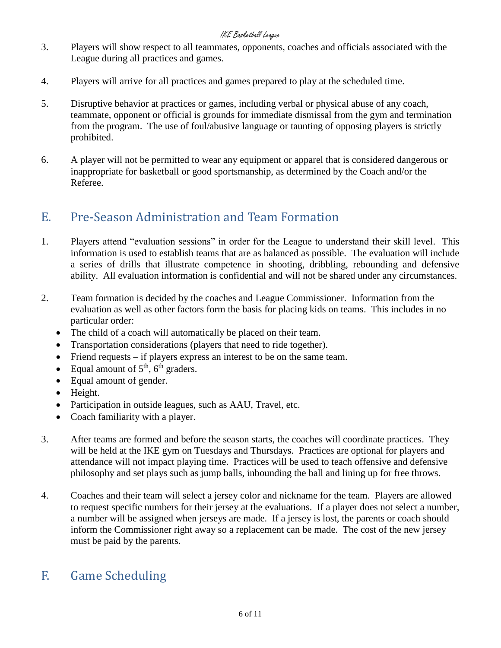- 3. Players will show respect to all teammates, opponents, coaches and officials associated with the League during all practices and games.
- 4. Players will arrive for all practices and games prepared to play at the scheduled time.
- 5. Disruptive behavior at practices or games, including verbal or physical abuse of any coach, teammate, opponent or official is grounds for immediate dismissal from the gym and termination from the program. The use of foul/abusive language or taunting of opposing players is strictly prohibited.
- 6. A player will not be permitted to wear any equipment or apparel that is considered dangerous or inappropriate for basketball or good sportsmanship, as determined by the Coach and/or the Referee.

### <span id="page-5-0"></span>E. Pre-Season Administration and Team Formation

- 1. Players attend "evaluation sessions" in order for the League to understand their skill level. This information is used to establish teams that are as balanced as possible. The evaluation will include a series of drills that illustrate competence in shooting, dribbling, rebounding and defensive ability. All evaluation information is confidential and will not be shared under any circumstances.
- 2. Team formation is decided by the coaches and League Commissioner. Information from the evaluation as well as other factors form the basis for placing kids on teams. This includes in no particular order:
	- The child of a coach will automatically be placed on their team.
	- Transportation considerations (players that need to ride together).
	- Friend requests if players express an interest to be on the same team.
	- Equal amount of  $5<sup>th</sup>$ ,  $6<sup>th</sup>$  graders.
	- Equal amount of gender.
	- Height.
	- Participation in outside leagues, such as AAU, Travel, etc.
	- Coach familiarity with a player.
- 3. After teams are formed and before the season starts, the coaches will coordinate practices. They will be held at the IKE gym on Tuesdays and Thursdays. Practices are optional for players and attendance will not impact playing time. Practices will be used to teach offensive and defensive philosophy and set plays such as jump balls, inbounding the ball and lining up for free throws.
- 4. Coaches and their team will select a jersey color and nickname for the team. Players are allowed to request specific numbers for their jersey at the evaluations. If a player does not select a number, a number will be assigned when jerseys are made. If a jersey is lost, the parents or coach should inform the Commissioner right away so a replacement can be made. The cost of the new jersey must be paid by the parents.

### <span id="page-5-1"></span>F. Game Scheduling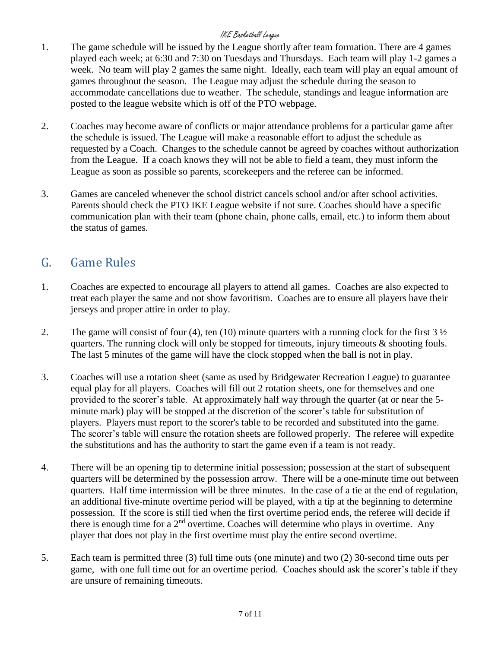- 1. The game schedule will be issued by the League shortly after team formation. There are 4 games played each week; at 6:30 and 7:30 on Tuesdays and Thursdays. Each team will play 1-2 games a week. No team will play 2 games the same night. Ideally, each team will play an equal amount of games throughout the season. The League may adjust the schedule during the season to accommodate cancellations due to weather. The schedule, standings and league information are posted to the league website which is off of the PTO webpage.
- 2. Coaches may become aware of conflicts or major attendance problems for a particular game after the schedule is issued. The League will make a reasonable effort to adjust the schedule as requested by a Coach. Changes to the schedule cannot be agreed by coaches without authorization from the League. If a coach knows they will not be able to field a team, they must inform the League as soon as possible so parents, scorekeepers and the referee can be informed.
- 3. Games are canceled whenever the school district cancels school and/or after school activities. Parents should check the PTO IKE League website if not sure. Coaches should have a specific communication plan with their team (phone chain, phone calls, email, etc.) to inform them about the status of games.

### <span id="page-6-0"></span>G. Game Rules

- 1. Coaches are expected to encourage all players to attend all games. Coaches are also expected to treat each player the same and not show favoritism. Coaches are to ensure all players have their jerseys and proper attire in order to play.
- 2. The game will consist of four (4), ten (10) minute quarters with a running clock for the first  $3\frac{1}{2}$ quarters. The running clock will only be stopped for timeouts, injury timeouts  $\&$  shooting fouls. The last 5 minutes of the game will have the clock stopped when the ball is not in play.
- 3. Coaches will use a rotation sheet (same as used by Bridgewater Recreation League) to guarantee equal play for all players. Coaches will fill out 2 rotation sheets, one for themselves and one provided to the scorer's table. At approximately half way through the quarter (at or near the 5 minute mark) play will be stopped at the discretion of the scorer's table for substitution of players. Players must report to the scorer's table to be recorded and substituted into the game. The scorer's table will ensure the rotation sheets are followed properly. The referee will expedite the substitutions and has the authority to start the game even if a team is not ready.
- 4. There will be an opening tip to determine initial possession; possession at the start of subsequent quarters will be determined by the possession arrow. There will be a one-minute time out between quarters. Half time intermission will be three minutes. In the case of a tie at the end of regulation, an additional five-minute overtime period will be played, with a tip at the beginning to determine possession. If the score is still tied when the first overtime period ends, the referee will decide if there is enough time for a  $2<sup>nd</sup>$  overtime. Coaches will determine who plays in overtime. Any player that does not play in the first overtime must play the entire second overtime.
- 5. Each team is permitted three (3) full time outs (one minute) and two (2) 30-second time outs per game, with one full time out for an overtime period. Coaches should ask the scorer's table if they are unsure of remaining timeouts.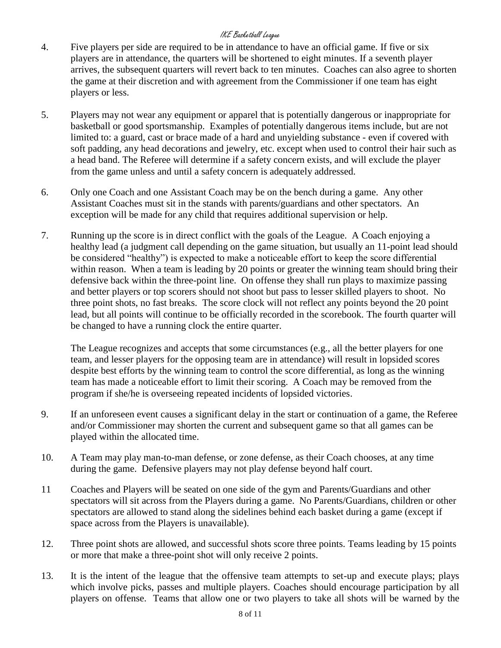- 4. Five players per side are required to be in attendance to have an official game. If five or six players are in attendance, the quarters will be shortened to eight minutes. If a seventh player arrives, the subsequent quarters will revert back to ten minutes. Coaches can also agree to shorten the game at their discretion and with agreement from the Commissioner if one team has eight players or less.
- 5. Players may not wear any equipment or apparel that is potentially dangerous or inappropriate for basketball or good sportsmanship. Examples of potentially dangerous items include, but are not limited to: a guard, cast or brace made of a hard and unyielding substance - even if covered with soft padding, any head decorations and jewelry, etc. except when used to control their hair such as a head band. The Referee will determine if a safety concern exists, and will exclude the player from the game unless and until a safety concern is adequately addressed.
- 6. Only one Coach and one Assistant Coach may be on the bench during a game. Any other Assistant Coaches must sit in the stands with parents/guardians and other spectators. An exception will be made for any child that requires additional supervision or help.
- 7. Running up the score is in direct conflict with the goals of the League. A Coach enjoying a healthy lead (a judgment call depending on the game situation, but usually an 11-point lead should be considered "healthy") is expected to make a noticeable effort to keep the score differential within reason. When a team is leading by 20 points or greater the winning team should bring their defensive back within the three-point line. On offense they shall run plays to maximize passing and better players or top scorers should not shoot but pass to lesser skilled players to shoot. No three point shots, no fast breaks. The score clock will not reflect any points beyond the 20 point lead, but all points will continue to be officially recorded in the scorebook. The fourth quarter will be changed to have a running clock the entire quarter.

The League recognizes and accepts that some circumstances (e.g., all the better players for one team, and lesser players for the opposing team are in attendance) will result in lopsided scores despite best efforts by the winning team to control the score differential, as long as the winning team has made a noticeable effort to limit their scoring. A Coach may be removed from the program if she/he is overseeing repeated incidents of lopsided victories.

- 9. If an unforeseen event causes a significant delay in the start or continuation of a game, the Referee and/or Commissioner may shorten the current and subsequent game so that all games can be played within the allocated time.
- 10. A Team may play man-to-man defense, or zone defense, as their Coach chooses, at any time during the game. Defensive players may not play defense beyond half court.
- 11 Coaches and Players will be seated on one side of the gym and Parents/Guardians and other spectators will sit across from the Players during a game. No Parents/Guardians, children or other spectators are allowed to stand along the sidelines behind each basket during a game (except if space across from the Players is unavailable).
- 12. Three point shots are allowed, and successful shots score three points. Teams leading by 15 points or more that make a three-point shot will only receive 2 points.
- 13. It is the intent of the league that the offensive team attempts to set-up and execute plays; plays which involve picks, passes and multiple players. Coaches should encourage participation by all players on offense. Teams that allow one or two players to take all shots will be warned by the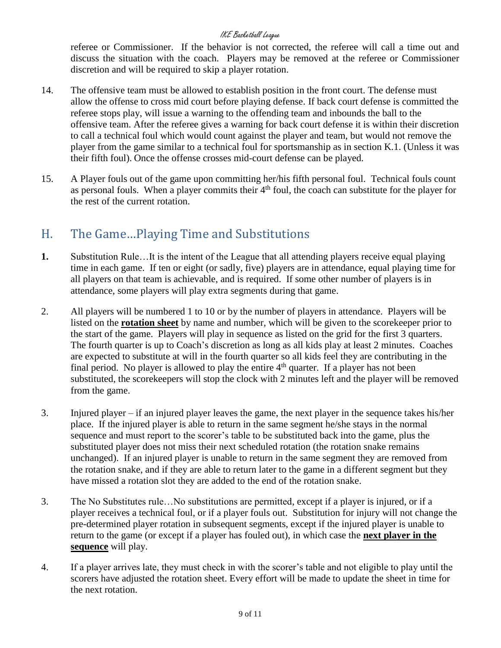referee or Commissioner. If the behavior is not corrected, the referee will call a time out and discuss the situation with the coach. Players may be removed at the referee or Commissioner discretion and will be required to skip a player rotation.

- 14. The offensive team must be allowed to establish position in the front court. The defense must allow the offense to cross mid court before playing defense. If back court defense is committed the referee stops play, will issue a warning to the offending team and inbounds the ball to the offensive team. After the referee gives a warning for back court defense it is within their discretion to call a technical foul which would count against the player and team, but would not remove the player from the game similar to a technical foul for sportsmanship as in section K.1. (Unless it was their fifth foul). Once the offense crosses mid-court defense can be played.
- 15. A Player fouls out of the game upon committing her/his fifth personal foul. Technical fouls count as personal fouls. When a player commits their  $4<sup>th</sup>$  foul, the coach can substitute for the player for the rest of the current rotation.

### <span id="page-8-0"></span>H. The Game…Playing Time and Substitutions

- **1.** Substitution Rule…It is the intent of the League that all attending players receive equal playing time in each game. If ten or eight (or sadly, five) players are in attendance, equal playing time for all players on that team is achievable, and is required. If some other number of players is in attendance, some players will play extra segments during that game.
- 2. All players will be numbered 1 to 10 or by the number of players in attendance. Players will be listed on the **rotation sheet** by name and number, which will be given to the scorekeeper prior to the start of the game. Players will play in sequence as listed on the grid for the first 3 quarters. The fourth quarter is up to Coach's discretion as long as all kids play at least 2 minutes. Coaches are expected to substitute at will in the fourth quarter so all kids feel they are contributing in the final period. No player is allowed to play the entire 4<sup>th</sup> quarter. If a player has not been substituted, the scorekeepers will stop the clock with 2 minutes left and the player will be removed from the game.
- 3. Injured player if an injured player leaves the game, the next player in the sequence takes his/her place. If the injured player is able to return in the same segment he/she stays in the normal sequence and must report to the scorer's table to be substituted back into the game, plus the substituted player does not miss their next scheduled rotation (the rotation snake remains unchanged). If an injured player is unable to return in the same segment they are removed from the rotation snake, and if they are able to return later to the game in a different segment but they have missed a rotation slot they are added to the end of the rotation snake.
- 3. The No Substitutes rule…No substitutions are permitted, except if a player is injured, or if a player receives a technical foul, or if a player fouls out. Substitution for injury will not change the pre-determined player rotation in subsequent segments, except if the injured player is unable to return to the game (or except if a player has fouled out), in which case the **next player in the sequence** will play.
- 4. If a player arrives late, they must check in with the scorer's table and not eligible to play until the scorers have adjusted the rotation sheet. Every effort will be made to update the sheet in time for the next rotation.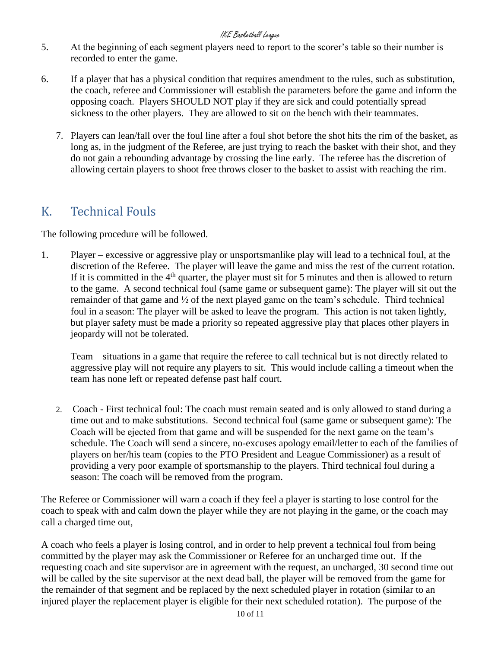- 5. At the beginning of each segment players need to report to the scorer's table so their number is recorded to enter the game.
- 6. If a player that has a physical condition that requires amendment to the rules, such as substitution, the coach, referee and Commissioner will establish the parameters before the game and inform the opposing coach. Players SHOULD NOT play if they are sick and could potentially spread sickness to the other players. They are allowed to sit on the bench with their teammates.
	- 7. Players can lean/fall over the foul line after a foul shot before the shot hits the rim of the basket, as long as, in the judgment of the Referee, are just trying to reach the basket with their shot, and they do not gain a rebounding advantage by crossing the line early. The referee has the discretion of allowing certain players to shoot free throws closer to the basket to assist with reaching the rim.

### <span id="page-9-0"></span>K. Technical Fouls

The following procedure will be followed.

1. Player – excessive or aggressive play or unsportsmanlike play will lead to a technical foul, at the discretion of the Referee. The player will leave the game and miss the rest of the current rotation. If it is committed in the  $4<sup>th</sup>$  quarter, the player must sit for 5 minutes and then is allowed to return to the game. A second technical foul (same game or subsequent game): The player will sit out the remainder of that game and ½ of the next played game on the team's schedule. Third technical foul in a season: The player will be asked to leave the program. This action is not taken lightly, but player safety must be made a priority so repeated aggressive play that places other players in jeopardy will not be tolerated.

Team – situations in a game that require the referee to call technical but is not directly related to aggressive play will not require any players to sit. This would include calling a timeout when the team has none left or repeated defense past half court.

2. Coach - First technical foul: The coach must remain seated and is only allowed to stand during a time out and to make substitutions. Second technical foul (same game or subsequent game): The Coach will be ejected from that game and will be suspended for the next game on the team's schedule. The Coach will send a sincere, no-excuses apology email/letter to each of the families of players on her/his team (copies to the PTO President and League Commissioner) as a result of providing a very poor example of sportsmanship to the players. Third technical foul during a season: The coach will be removed from the program.

The Referee or Commissioner will warn a coach if they feel a player is starting to lose control for the coach to speak with and calm down the player while they are not playing in the game, or the coach may call a charged time out,

A coach who feels a player is losing control, and in order to help prevent a technical foul from being committed by the player may ask the Commissioner or Referee for an uncharged time out. If the requesting coach and site supervisor are in agreement with the request, an uncharged, 30 second time out will be called by the site supervisor at the next dead ball, the player will be removed from the game for the remainder of that segment and be replaced by the next scheduled player in rotation (similar to an injured player the replacement player is eligible for their next scheduled rotation). The purpose of the